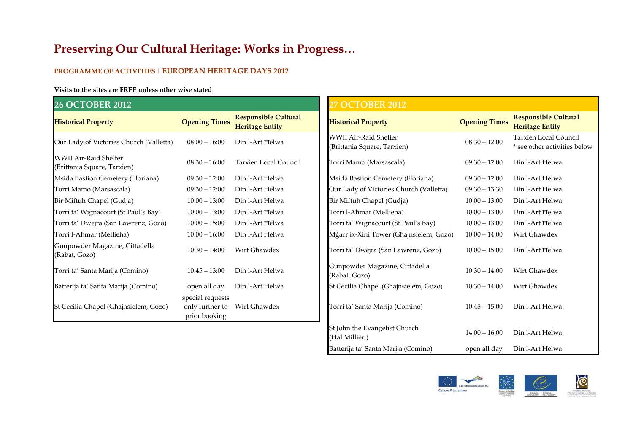### Preserving Our Cultural Heritage: Works in Progress…

#### PROGRAMME OF ACTIVITIES | EUROPEAN HERITAGE DAYS 2012

#### Visits to the sites are FREE unless other wise stated

| <b>26 OCTOBER 2012</b>                                      |                                                      |                                                       |  | <b>27 OCTOBER 2012</b>                                      |                      |                                                  |
|-------------------------------------------------------------|------------------------------------------------------|-------------------------------------------------------|--|-------------------------------------------------------------|----------------------|--------------------------------------------------|
| <b>Historical Property</b>                                  | <b>Opening Times</b>                                 | <b>Responsible Cultural</b><br><b>Heritage Entity</b> |  | <b>Historical Property</b>                                  | <b>Opening Times</b> | <b>Responsible Cul</b><br><b>Heritage Entity</b> |
| Our Lady of Victories Church (Valletta)                     | $08:00 - 16:00$                                      | Din l-Art Helwa                                       |  | <b>WWII Air-Raid Shelter</b><br>(Brittania Square, Tarxien) | $08:30 - 12:00$      | Tarxien Local Co<br>* see other activit          |
| <b>WWII Air-Raid Shelter</b><br>(Brittania Square, Tarxien) | $08:30 - 16:00$                                      | <b>Tarxien Local Council</b>                          |  | Torri Mamo (Marsascala)                                     | $09:30 - 12:00$      | Din l-Art Helwa                                  |
| Msida Bastion Cemetery (Floriana)                           | $09:30 - 12:00$                                      | Din l-Art Helwa                                       |  | Msida Bastion Cemetery (Floriana)                           | $09:30 - 12:00$      | Din l-Art Helwa                                  |
| Torri Mamo (Marsascala)                                     | $09:30 - 12:00$                                      | Din l-Art Helwa                                       |  | Our Lady of Victories Church (Valletta)                     | $09:30 - 13:30$      | Din l-Art Helwa                                  |
| Bir Miftuh Chapel (Gudja)                                   | $10:00 - 13:00$                                      | Din l-Art Helwa                                       |  | Bir Miftuh Chapel (Gudja)                                   | $10:00 - 13:00$      | Din l-Art Helwa                                  |
| Torri ta' Wignacourt (St Paul's Bay)                        | $10:00 - 13:00$                                      | Din l-Art Helwa                                       |  | Torri l-Aħmar (Mellieha)                                    | $10:00 - 13:00$      | Din l-Art Helwa                                  |
| Torri ta' Dwejra (San Lawrenz, Gozo)                        | $10:00 - 15:00$                                      | Din l-Art Helwa                                       |  | Torri ta' Wignacourt (St Paul's Bay)                        | $10:00 - 13:00$      | Din l-Art Helwa                                  |
| Torri l-Ahmar (Mellieha)                                    | $10:00 - 16:00$                                      | Din l-Art Helwa                                       |  | Mġarr ix-Xini Tower (Ghajnsielem, Gozo)                     | $10:00 - 14:00$      | Wirt Ghawdex                                     |
| Gunpowder Magazine, Cittadella<br>(Rabat, Gozo)             | $10:30 - 14:00$                                      | Wirt Ghawdex                                          |  | Torri ta' Dwejra (San Lawrenz, Gozo)                        | $10:00 - 15:00$      | Din l-Art Helwa                                  |
| Torri ta' Santa Marija (Comino)                             | $10:45 - 13:00$                                      | Din l-Art Helwa                                       |  | Gunpowder Magazine, Cittadella<br>(Rabat, Gozo)             | $10:30 - 14:00$      | Wirt Ghawdex                                     |
| Batterija ta' Santa Marija (Comino)                         | open all day                                         | Din l-Art Helwa                                       |  | St Cecilia Chapel (Ghajnsielem, Gozo)                       | $10:30 - 14:00$      | Wirt Ghawdex                                     |
| St Cecilia Chapel (Ghajnsielem, Gozo)                       | special requests<br>only further to<br>prior booking | Wirt Ghawdex                                          |  | Torri ta' Santa Marija (Comino)                             | $10:45 - 15:00$      | Din l-Art Helwa                                  |

## 27 OCTOBER 2012 Historical Property **Opening Times** Responsible Cultural Historical Property Copening Times Responsible Cultural Heritage Entity Responsible Cultural Heritage Entity Responsible Cultural Heritage Entity Responsible Cultura Our Lady of Victories Church (Valletta) 08:00 – 16:00 Din l-Art Ħelwa WWII Air-Raid Shelter (Brittania Square, Tarxien) 08:30 – 12:00 Tarxien Local Council (Brittania Square, Tarxien) + see other activities below Msida Bastion Cemetery (Floriana) 09:30 – 12:00 Din l-Art Ħelwa Our Lady of Victories Church (Valletta) 09:30 – 13:30 Din l-Art Ħelwa Bir Miftuħ Chapel (Gudja) 10:00 – 13:00 Din l-Art Ħelwa Torri l-Aħmar (Mellieha) 10:00 – 13:00 Din l-Art Ħelwa Torri ta' Wignacourt (St Paul's Bay) 10:00 – 13:00 Din l-Art Ħelwa Mġarr ix-Xini Tower (Għajnsielem, Gozo) 10:00 – 14:00 Wirt Għawdex Torri ta' Dwejra (San Lawrenz, Gozo) 10:00 – 15:00 Din l-Art Ħelwa St Cecilia Chapel (Għajnsielem, Gozo)  $10:30 - 14:00$  Wirt Għawdex Torri ta' Santa Marija (Comino) 10:45 – 15:00 Din l-Art Ħelwa St John the Evangelist Church (Ħal Millieri) 14:00 – 16:00 Din l-Art Ħelwa Batterija ta' Santa Marija (Comino) open all day Din l-Art Helwa